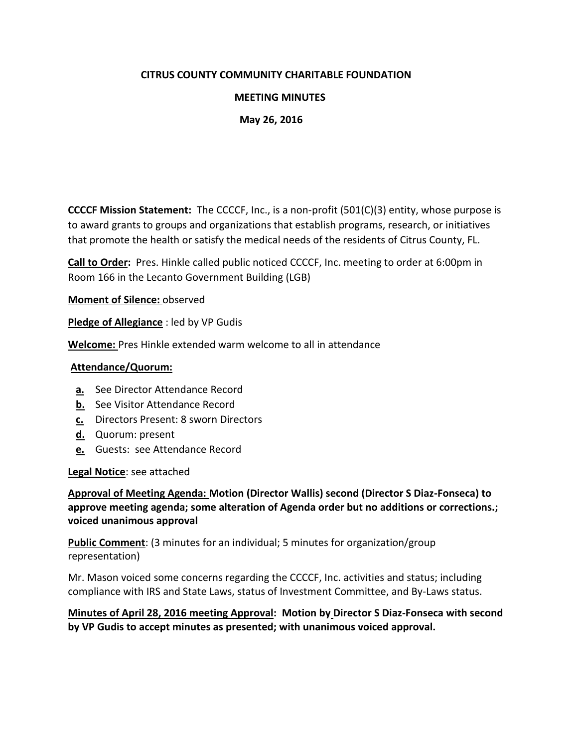### **CITRUS COUNTY COMMUNITY CHARITABLE FOUNDATION**

### **MEETING MINUTES**

#### **May 26, 2016**

**CCCCF Mission Statement:** The CCCCF, Inc., is a non-profit (501(C)(3) entity, whose purpose is to award grants to groups and organizations that establish programs, research, or initiatives that promote the health or satisfy the medical needs of the residents of Citrus County, FL.

**Call to Order:** Pres. Hinkle called public noticed CCCCF, Inc. meeting to order at 6:00pm in Room 166 in the Lecanto Government Building (LGB)

**Moment of Silence:** observed

**Pledge of Allegiance** : led by VP Gudis

**Welcome:** Pres Hinkle extended warm welcome to all in attendance

#### **Attendance/Quorum:**

- **a.** See Director Attendance Record
- **b.** See Visitor Attendance Record
- **c.** Directors Present: 8 sworn Directors
- **d.** Quorum: present
- **e.** Guests: see Attendance Record

**Legal Notice**: see attached

**Approval of Meeting Agenda: Motion (Director Wallis) second (Director S Diaz-Fonseca) to approve meeting agenda; some alteration of Agenda order but no additions or corrections.; voiced unanimous approval** 

**Public Comment**: (3 minutes for an individual; 5 minutes for organization/group representation)

Mr. Mason voiced some concerns regarding the CCCCF, Inc. activities and status; including compliance with IRS and State Laws, status of Investment Committee, and By-Laws status.

**Minutes of April 28, 2016 meeting Approval: Motion by Director S Diaz-Fonseca with second by VP Gudis to accept minutes as presented; with unanimous voiced approval.**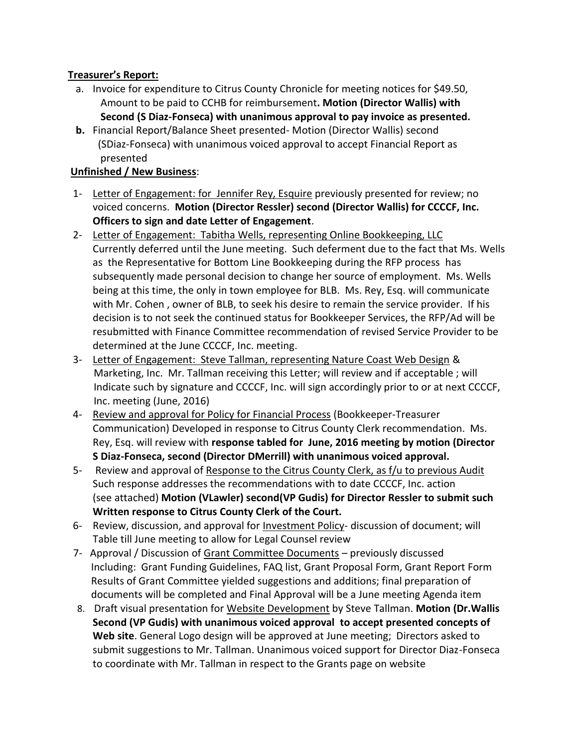# **Treasurer's Report:**

- a. Invoice for expenditure to Citrus County Chronicle for meeting notices for \$49.50, Amount to be paid to CCHB for reimbursement**. Motion (Director Wallis) with Second (S Diaz-Fonseca) with unanimous approval to pay invoice as presented.**
- **b.** Financial Report/Balance Sheet presented- Motion (Director Wallis) second (SDiaz-Fonseca) with unanimous voiced approval to accept Financial Report as presented

# **Unfinished / New Business**:

- 1- Letter of Engagement: for Jennifer Rey, Esquire previously presented for review; no voiced concerns. **Motion (Director Ressler) second (Director Wallis) for CCCCF, Inc. Officers to sign and date Letter of Engagement**.
- 2- Letter of Engagement: Tabitha Wells, representing Online Bookkeeping, LLC Currently deferred until the June meeting. Such deferment due to the fact that Ms. Wells as the Representative for Bottom Line Bookkeeping during the RFP process has subsequently made personal decision to change her source of employment. Ms. Wells being at this time, the only in town employee for BLB. Ms. Rey, Esq. will communicate with Mr. Cohen , owner of BLB, to seek his desire to remain the service provider. If his decision is to not seek the continued status for Bookkeeper Services, the RFP/Ad will be resubmitted with Finance Committee recommendation of revised Service Provider to be determined at the June CCCCF, Inc. meeting.
- 3- Letter of Engagement: Steve Tallman, representing Nature Coast Web Design & Marketing, Inc. Mr. Tallman receiving this Letter; will review and if acceptable ; will Indicate such by signature and CCCCF, Inc. will sign accordingly prior to or at next CCCCF, Inc. meeting (June, 2016)
- 4- Review and approval for Policy for Financial Process (Bookkeeper-Treasurer Communication) Developed in response to Citrus County Clerk recommendation. Ms. Rey, Esq. will review with **response tabled for June, 2016 meeting by motion (Director S Diaz-Fonseca, second (Director DMerrill) with unanimous voiced approval.**
- 5- Review and approval of Response to the Citrus County Clerk, as f/u to previous Audit Such response addresses the recommendations with to date CCCCF, Inc. action (see attached) **Motion (VLawler) second(VP Gudis) for Director Ressler to submit such Written response to Citrus County Clerk of the Court.**
- 6- Review, discussion, and approval for Investment Policy- discussion of document; will Table till June meeting to allow for Legal Counsel review
- 7- Approval / Discussion of Grant Committee Documents previously discussed Including: Grant Funding Guidelines, FAQ list, Grant Proposal Form, Grant Report Form Results of Grant Committee yielded suggestions and additions; final preparation of documents will be completed and Final Approval will be a June meeting Agenda item
- 8. Draft visual presentation for Website Development by Steve Tallman. **Motion (Dr.Wallis Second (VP Gudis) with unanimous voiced approval to accept presented concepts of Web site**. General Logo design will be approved at June meeting; Directors asked to submit suggestions to Mr. Tallman. Unanimous voiced support for Director Diaz-Fonseca to coordinate with Mr. Tallman in respect to the Grants page on website